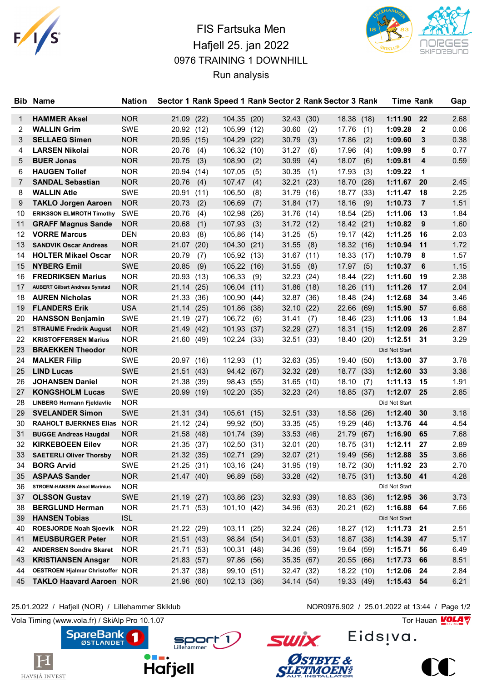

## FIS Fartsuka Men Hafjell 25. jan 2022 0976 TRAINING 1 DOWNHILL Run analysis



| <b>Bib</b> | Name                                          | <b>Nation</b> |                     |      |             |      |            |            | Sector 1 Rank Speed 1 Rank Sector 2 Rank Sector 3 Rank |      | <b>Time Rank</b> |                | Gap          |
|------------|-----------------------------------------------|---------------|---------------------|------|-------------|------|------------|------------|--------------------------------------------------------|------|------------------|----------------|--------------|
|            |                                               |               |                     |      |             |      |            |            |                                                        |      | 1:11.90          |                |              |
| 1          | <b>HAMMER Aksel</b>                           | <b>NOR</b>    | 21.09(22)           |      | 104,35 (20) |      | 32.43      | (30)       | 18.38                                                  | (18) |                  | 22             | 2.68<br>0.06 |
| 2          | <b>WALLIN Grim</b>                            | SWE           | 20.92 (12)          |      | 105,99 (12) |      | 30.60      | (2)        | 17.76                                                  | (1)  | 1:09.28          | $\mathbf{2}$   |              |
| 3          | <b>SELLAEG Simen</b><br><b>LARSEN Nikolai</b> | <b>NOR</b>    | 20.95 (15)<br>20.76 |      | 104,29      | (22) | 30.79      | (3)        | 17.86                                                  | (2)  | 1:09.60          | 3              | 0.38<br>0.77 |
| 4          |                                               | <b>NOR</b>    |                     | (4)  | 106,32 (10) |      | 31.27      | (6)        | 17.96                                                  | (4)  | 1:09.99          | 5              |              |
| 5          | <b>BUER Jonas</b>                             | <b>NOR</b>    | 20.75               | (3)  | 108,90      | (2)  | 30.99      | (4)        | 18.07                                                  | (6)  | 1:09.81          | 4              | 0.59         |
| 6          | <b>HAUGEN Tollef</b>                          | <b>NOR</b>    | 20.94               | (14) | 107,05      | (5)  | 30.35      | (1)        | 17.93                                                  | (3)  | 1:09.22          | 1              |              |
| 7          | <b>SANDAL Sebastian</b>                       | <b>NOR</b>    | 20.76               | (4)  | 107,47      | (4)  | 32.21      | (23)       | 18.70                                                  | (28) | 1:11.67          | 20             | 2.45         |
| 8          | <b>WALLIN Atle</b>                            | <b>SWE</b>    | 20.91               | (11) | 106,50      | (8)  | 31.79      | (16)       | 18.77                                                  | (33) | 1:11.47          | 18             | 2.25         |
| 9          | <b>TAKLO Jorgen Aaroen</b>                    | <b>NOR</b>    | 20.73               | (2)  | 106,69      | (7)  | 31.84      | (17)       | 18.16                                                  | (9)  | 1:10.73          | $\overline{7}$ | 1.51         |
| 10         | <b>ERIKSSON ELMROTH Timothy</b>               | <b>SWE</b>    | 20.76               | (4)  | 102,98      | (26) | 31.76      | (14)       | 18.54                                                  | (25) | 1:11.06          | 13             | 1.84         |
| 11         | <b>GRAFF Magnus Sande</b>                     | <b>NOR</b>    | 20.68               | (1)  | 107,93      | (3)  | 31.72 (12) |            | 18.42 (21)                                             |      | 1:10.82          | 9              | 1.60         |
| 12         | <b>VORRE Marcus</b>                           | <b>DEN</b>    | 20.83               | (8)  | 105,86      | (14) | 31.25      | (5)        | 19.17                                                  | (42) | 1:11.25          | 16             | 2.03         |
| 13         | <b>SANDVIK Oscar Andreas</b>                  | <b>NOR</b>    | 21.07 (20)          |      | 104,30 (21) |      | 31.55      | (8)        | 18.32 (16)                                             |      | 1:10.94          | 11             | 1.72         |
| 14         | <b>HOLTER Mikael Oscar</b>                    | <b>NOR</b>    | 20.79               | (7)  | 105,92 (13) |      | 31.67      | (11)       | 18.33                                                  | (17) | 1:10.79          | 8              | 1.57         |
| 15         | <b>NYBERG Emil</b>                            | <b>SWE</b>    | 20.85               | (9)  | 105,22 (16) |      | 31.55      | (8)        | 17.97                                                  | (5)  | 1:10.37          | 6              | 1.15         |
| 16         | <b>FREDRIKSEN Marius</b>                      | <b>NOR</b>    | 20.93 (13)          |      | 106,33      | (9)  | 32.23      | (24)       | 18.44                                                  | (22) | 1:11.60          | 19             | 2.38         |
| 17         | <b>AUBERT Gilbert Andreas Synstad</b>         | <b>NOR</b>    | 21.14 (25)          |      | 106,04(11)  |      | 31.86      | (18)       | 18.26                                                  | (11) | 1:11.26          | 17             | 2.04         |
| 18         | <b>AUREN Nicholas</b>                         | <b>NOR</b>    | 21.33               | (36) | 100,90      | (44) | 32.87      | (36)       | 18.48                                                  | (24) | 1:12.68          | 34             | 3.46         |
| 19         | <b>FLANDERS Erik</b>                          | <b>USA</b>    | 21.14(25)           |      | 101,86 (38) |      | 32.10      | (22)       | 22.66                                                  | (69) | 1:15.90          | 57             | 6.68         |
| 20         | <b>HANSSON Benjamin</b>                       | <b>SWE</b>    | 21.19               | (27) | 106,72      | (6)  | 31.41      | (7)        | 18.46                                                  | (23) | 1:11.06          | 13             | 1.84         |
| 21         | <b>STRAUME Fredrik August</b>                 | <b>NOR</b>    | 21.49 (42)          |      | 101,93      | (37) | 32.29      | (27)       | 18.31                                                  | (15) | 1:12.09          | 26             | 2.87         |
| 22         | <b>KRISTOFFERSEN Marius</b>                   | <b>NOR</b>    | 21.60 (49)          |      | 102,24      | (33) | 32.51      | (33)       | 18.40                                                  | (20) | 1:12.51          | 31             | 3.29         |
| 23         | <b>BRAEKKEN Theodor</b>                       | <b>NOR</b>    |                     |      |             |      |            |            |                                                        |      | Did Not Start    |                |              |
| 24         | <b>MALKER Filip</b>                           | SWE           | 20.97 (16)          |      | 112,93      | (1)  | 32.63      | (35)       | 19.40                                                  | (50) | 1:13.00          | 37             | 3.78         |
| 25         | <b>LIND Lucas</b>                             | <b>SWE</b>    | 21.51(43)           |      | 94,42       | (67) | 32.32 (28) |            | 18.77 (33)                                             |      | 1:12.60          | 33             | 3.38         |
| 26         | <b>JOHANSEN Daniel</b>                        | <b>NOR</b>    | 21.38               | (39) | 98,43       | (55) | 31.65(10)  |            | 18.10                                                  | (7)  | 1:11.13          | 15             | 1.91         |
| 27         | <b>KONGSHOLM Lucas</b>                        | <b>SWE</b>    | 20.99 (19)          |      | 102,20 (35) |      |            | 32.23 (24) | 18.85                                                  | (37) | 1:12.07          | 25             | 2.85         |
| 28         | LINBERG Hermann Fjeldavlie                    | <b>NOR</b>    |                     |      |             |      |            |            |                                                        |      | Did Not Start    |                |              |
| 29         | <b>SVELANDER Simon</b>                        | <b>SWE</b>    | 21.31 (34)          |      | 105,61      | (15) | 32.51      | (33)       | 18.58                                                  | (26) | 1:12.40          | 30             | 3.18         |
| 30         | <b>RAAHOLT BJERKNES Elias</b>                 | <b>NOR</b>    | 21.12(24)           |      | 99,92 (50)  |      | 33.35      | (45)       | 19.29                                                  | (46) | 1:13.76          | 44             | 4.54         |
| 31         | <b>BUGGE Andreas Haugdal</b>                  | <b>NOR</b>    | 21.58 (48)          |      | 101,74 (39) |      | 33.53      | (46)       | 21.79                                                  | (67) | 1:16.90          | 65             | 7.68         |
| 32         | <b>KIRKEBOEEN Eilev</b>                       | <b>NOR</b>    | 21.35 (37)          |      | 102,50      | (31) | 32.01      | (20)       | 18.75                                                  | (31) | 1:12.11          | 27             | 2.89         |
| 33         | <b>SAETERLI Oliver Thorsby</b>                | <b>NOR</b>    | 21.32 (35)          |      | 102,71      | (29) | 32.07      | (21)       | 19.49                                                  | (56) | 1:12.88          | 35             | 3.66         |
| 34         | <b>BORG Arvid</b>                             | SWE           | 21.25 (31)          |      | 103,16 (24) |      |            | 31.95 (19) | 18.72 (30)                                             |      | 1:11.92          | 23             | 2.70         |
| 35         | <b>ASPAAS Sander</b>                          | <b>NOR</b>    | 21.47 (40)          |      | 96,89 (58)  |      |            | 33.28 (42) | 18.75 (31)                                             |      | 1:13.50          | 41             | 4.28         |
| 36         | <b>STROEM-HANSEN Aksel Marinius</b>           | <b>NOR</b>    |                     |      |             |      |            |            |                                                        |      | Did Not Start    |                |              |
| 37         | <b>OLSSON Gustav</b>                          | SWE           | 21.19 (27)          |      | 103,86 (23) |      |            | 32.93 (39) | 18.83 (36)                                             |      | 1:12.95          | 36             | 3.73         |
| 38         | <b>BERGLUND Herman</b>                        | <b>NOR</b>    | 21.71 (53)          |      | 101,10 (42) |      |            | 34.96 (63) | 20.21 (62)                                             |      | 1:16.88          | 64             | 7.66         |
| 39         | <b>HANSEN Tobias</b>                          | <b>ISL</b>    |                     |      |             |      |            |            |                                                        |      | Did Not Start    |                |              |
| 40         | ROESJORDE Noah Sjoevik                        | <b>NOR</b>    | 21.22 (29)          |      | 103,11 (25) |      |            | 32.24 (26) | 18.27 (12)                                             |      | 1:11.73          | 21             | 2.51         |
| 41         | <b>MEUSBURGER Peter</b>                       | <b>NOR</b>    | 21.51(43)           |      | 98,84 (54)  |      |            | 34.01 (53) | 18.87 (38)                                             |      | 1:14.39          | 47             | 5.17         |
| 42         | <b>ANDERSEN Sondre Skaret</b>                 | <b>NOR</b>    | 21.71 (53)          |      | 100,31 (48) |      |            | 34.36 (59) | 19.64 (59)                                             |      | 1:15.71          | 56             | 6.49         |
| 43         | <b>KRISTIANSEN Ansgar</b>                     | <b>NOR</b>    | 21.83(57)           |      | 97,86 (56)  |      | 35.35 (67) |            | 20.55 (66)                                             |      | 1:17.73          | 66             | 8.51         |
| 44         | OESTROEM Hjalmar Christoffer NOR              |               | 21.37 (38)          |      | 99,10 (51)  |      | 32.47 (32) |            | 18.22 (10)                                             |      | 1:12.06          | 24             | 2.84         |
| 45         | <b>TAKLO Haavard Aaroen NOR</b>               |               | 21.96 (60)          |      | 102,13 (36) |      |            | 34.14 (54) | 19.33 (49)                                             |      | 1:15.43 54       |                | 6.21         |
|            |                                               |               |                     |      |             |      |            |            |                                                        |      |                  |                |              |

25.01.2022 / Hafjell (NOR) / Lillehammer Skiklub NOR0976.902 / 25.01.2022 at 13:44 / Page 1/2

Vola Timing (www.vola.fr) / SkiAlp Pro 10.1.07 Tor Hauan Motor Pro 10.1.07 Tor Hauan Motor Pro 10.1.07







**SLETMOEN®**